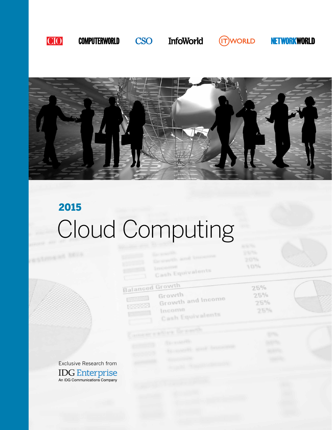

## **COMPUTERWORLD**

**InfoWorld** 

**CSO** 

**(IT)WORLD** 

 $257%$ 

10%

 $25%$ 

 $25%$ 

 $25%$ 

 $25%$ 

**NETWORKWORLD** 



# Cloud Computing 2015

**Inconent** 

Growth

Income

**Balanced Growth** 

3333

Cash Equivalents

Growth and Income

Cash Equivalents

Exclusive Research from **IDG Enterprise**<br>An IDG Communications Company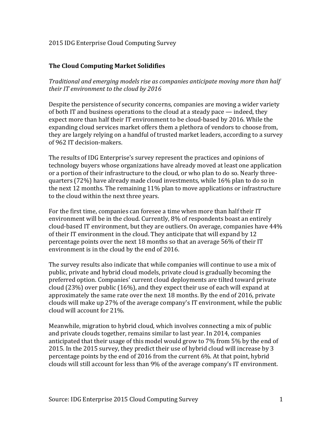## 2015 IDG Enterprise Cloud Computing Survey

## **The Cloud Computing Market Solidifies**

*Traditional and emerging models rise as companies anticipate moving more than half their IT environment to the cloud by 2016*

Despite the persistence of security concerns, companies are moving a wider variety of both IT and business operations to the cloud at a steady pace — indeed, they expect more than half their IT environment to be cloud-based by 2016. While the expanding cloud services market offers them a plethora of vendors to choose from, they are largely relying on a handful of trusted market leaders, according to a survey of 962 IT decision-makers.

The results of IDG Enterprise's survey represent the practices and opinions of technology buyers whose organizations have already moved at least one application or a portion of their infrastructure to the cloud, or who plan to do so. Nearly threequarters (72%) have already made cloud investments, while 16% plan to do so in the next 12 months. The remaining 11% plan to move applications or infrastructure to the cloud within the next three years.

For the first time, companies can foresee a time when more than half their IT environment will be in the cloud. Currently, 8% of respondents boast an entirely cloud-based IT environment, but they are outliers. On average, companies have 44% of their IT environment in the cloud. They anticipate that will expand by 12 percentage points over the next 18 months so that an average 56% of their IT environment is in the cloud by the end of 2016.

The survey results also indicate that while companies will continue to use a mix of public, private and hybrid cloud models, private cloud is gradually becoming the preferred option. Companies' current cloud deployments are tilted toward private cloud (23%) over public (16%), and they expect their use of each will expand at approximately the same rate over the next 18 months. By the end of 2016, private clouds will make up 27% of the average company's IT environment, while the public cloud will account for 21%.

Meanwhile, migration to hybrid cloud, which involves connecting a mix of public and private clouds together, remains similar to last year. In 2014, companies anticipated that their usage of this model would grow to 7% from 5% by the end of 2015. In the 2015 survey, they predict their use of hybrid cloud will increase by 3 percentage points by the end of 2016 from the current 6%. At that point, hybrid clouds will still account for less than 9% of the average company's IT environment.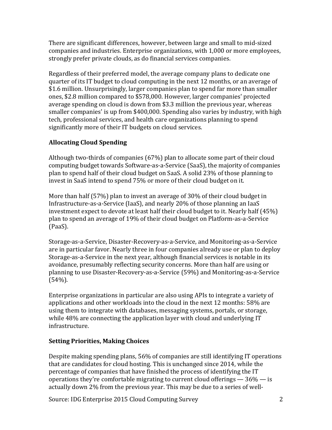There are significant differences, however, between large and small to mid-sized companies and industries. Enterprise organizations, with 1,000 or more employees, strongly prefer private clouds, as do financial services companies.

Regardless of their preferred model, the average company plans to dedicate one quarter of its IT budget to cloud computing in the next 12 months, or an average of \$1.6 million. Unsurprisingly, larger companies plan to spend far more than smaller ones, \$2.8 million compared to \$578,000. However, larger companies' projected average spending on cloud is down from \$3.3 million the previous year, whereas smaller companies' is up from \$400,000. Spending also varies by industry, with high tech, professional services, and health care organizations planning to spend significantly more of their IT budgets on cloud services.

# **Allocating Cloud Spending**

Although two-thirds of companies (67%) plan to allocate some part of their cloud computing budget towards Software-as-a-Service (SaaS), the majority of companies plan to spend half of their cloud budget on SaaS. A solid 23% of those planning to invest in SaaS intend to spend 75% or more of their cloud budget on it.

More than half (57%) plan to invest an average of 30% of their cloud budget in Infrastructure-as-a-Service (IaaS), and nearly 20% of those planning an IaaS investment expect to devote at least half their cloud budget to it. Nearly half (45%) plan to spend an average of 19% of their cloud budget on Platform-as-a-Service (PaaS).

Storage-as-a-Service, Disaster-Recovery-as-a-Service, and Monitoring-as-a-Service are in particular favor. Nearly three in four companies already use or plan to deploy Storage-as-a-Service in the next year, although financial services is notable in its avoidance, presumably reflecting security concerns. More than half are using or planning to use Disaster-Recovery-as-a-Service (59%) and Monitoring-as-a-Service (54%).

Enterprise organizations in particular are also using APIs to integrate a variety of applications and other workloads into the cloud in the next 12 months: 58% are using them to integrate with databases, messaging systems, portals, or storage, while 48% are connecting the application layer with cloud and underlying IT infrastructure.

# **Setting Priorities, Making Choices**

Despite making spending plans, 56% of companies are still identifying IT operations that are candidates for cloud hosting. This is unchanged since 2014, while the percentage of companies that have finished the process of identifying the IT operations they're comfortable migrating to current cloud offerings  $-36\%$  - is actually down 2% from the previous year. This may be due to a series of well-

Source: IDG Enterprise 2015 Cloud Computing Survey 2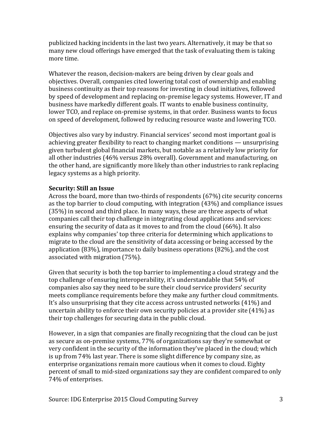publicized hacking incidents in the last two years. Alternatively, it may be that so many new cloud offerings have emerged that the task of evaluating them is taking more time.

Whatever the reason, decision-makers are being driven by clear goals and objectives. Overall, companies cited lowering total cost of ownership and enabling business continuity as their top reasons for investing in cloud initiatives, followed by speed of development and replacing on-premise legacy systems. However, IT and business have markedly different goals. IT wants to enable business continuity, lower TCO, and replace on-premise systems, in that order. Business wants to focus on speed of development, followed by reducing resource waste and lowering TCO.

Objectives also vary by industry. Financial services' second most important goal is achieving greater flexibility to react to changing market conditions — unsurprising given turbulent global financial markets, but notable as a relatively low priority for all other industries (46% versus 28% overall). Government and manufacturing, on the other hand, are significantly more likely than other industries to rank replacing legacy systems as a high priority.

### **Security: Still an Issue**

Across the board, more than two-thirds of respondents (67%) cite security concerns as the top barrier to cloud computing, with integration (43%) and compliance issues (35%) in second and third place. In many ways, these are three aspects of what companies call their top challenge in integrating cloud applications and services: ensuring the security of data as it moves to and from the cloud (66%). It also explains why companies' top three criteria for determining which applications to migrate to the cloud are the sensitivity of data accessing or being accessed by the application (83%), importance to daily business operations (82%), and the cost associated with migration (75%).

Given that security is both the top barrier to implementing a cloud strategy and the top challenge of ensuring interoperability, it's understandable that 54% of companies also say they need to be sure their cloud service providers' security meets compliance requirements before they make any further cloud commitments. It's also unsurprising that they cite access across untrusted networks (41%) and uncertain ability to enforce their own security policies at a provider site (41%) as their top challenges for securing data in the public cloud.

However, in a sign that companies are finally recognizing that the cloud can be just as secure as on-premise systems, 77% of organizations say they're somewhat or very confident in the security of the information they've placed in the cloud; which is up from 74% last year. There is some slight difference by company size, as enterprise organizations remain more cautious when it comes to cloud. Eighty percent of small to mid-sized organizations say they are confident compared to only 74% of enterprises.